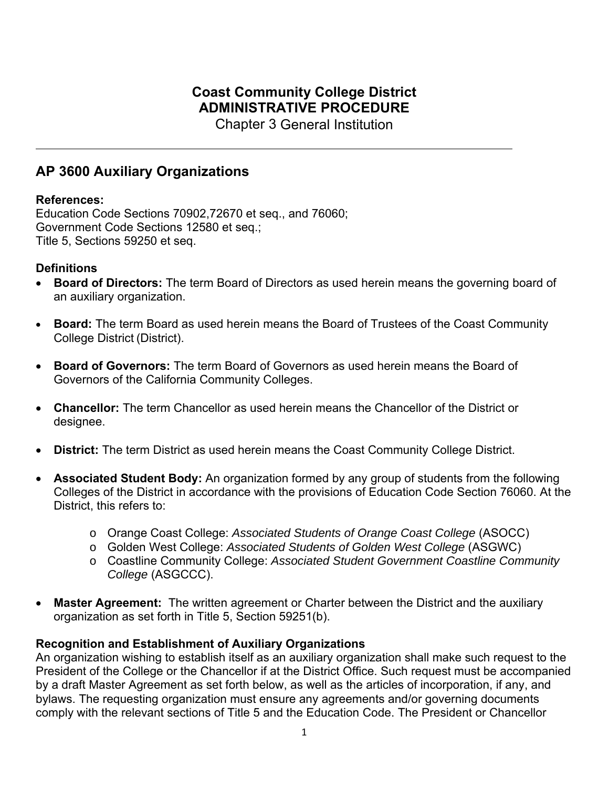# **Coast Community College District ADMINISTRATIVE PROCEDURE**

Chapter 3 General Institution

# **AP 3600 Auxiliary Organizations**

#### **References:**

Education Code Sections 70902,72670 et seq., and 76060; Government Code Sections 12580 et seq.; Title 5, Sections 59250 et seq.

#### **Definitions**

- **Board of Directors:** The term Board of Directors as used herein means the governing board of an auxiliary organization.
- **Board:** The term Board as used herein means the Board of Trustees of the Coast Community College District (District).
- **Board of Governors:** The term Board of Governors as used herein means the Board of Governors of the California Community Colleges.
- **Chancellor:** The term Chancellor as used herein means the Chancellor of the District or designee.
- **District:** The term District as used herein means the Coast Community College District.
- **Associated Student Body:** An organization formed by any group of students from the following Colleges of the District in accordance with the provisions of Education Code Section 76060. At the District, this refers to:
	- o Orange Coast College: *Associated Students of Orange Coast College* (ASOCC)
	- o Golden West College: *Associated Students of Golden West College* (ASGWC)
	- o Coastline Community College: *Associated Student Government Coastline Community College* (ASGCCC).
- **Master Agreement:** The written agreement or Charter between the District and the auxiliary organization as set forth in Title 5, Section 59251(b).

# **Recognition and Establishment of Auxiliary Organizations**

An organization wishing to establish itself as an auxiliary organization shall make such request to the President of the College or the Chancellor if at the District Office. Such request must be accompanied by a draft Master Agreement as set forth below, as well as the articles of incorporation, if any, and bylaws. The requesting organization must ensure any agreements and/or governing documents comply with the relevant sections of Title 5 and the Education Code. The President or Chancellor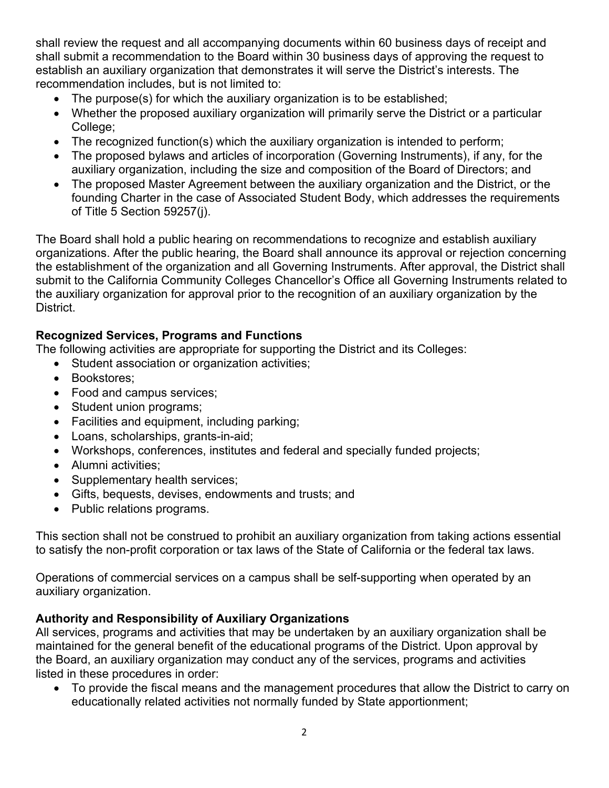shall review the request and all accompanying documents within 60 business days of receipt and shall submit a recommendation to the Board within 30 business days of approving the request to establish an auxiliary organization that demonstrates it will serve the District's interests. The recommendation includes, but is not limited to:

- The purpose(s) for which the auxiliary organization is to be established;
- Whether the proposed auxiliary organization will primarily serve the District or a particular College;
- The recognized function(s) which the auxiliary organization is intended to perform;
- The proposed bylaws and articles of incorporation (Governing Instruments), if any, for the auxiliary organization, including the size and composition of the Board of Directors; and
- The proposed Master Agreement between the auxiliary organization and the District, or the founding Charter in the case of Associated Student Body, which addresses the requirements of Title 5 Section 59257(j).

The Board shall hold a public hearing on recommendations to recognize and establish auxiliary organizations. After the public hearing, the Board shall announce its approval or rejection concerning the establishment of the organization and all Governing Instruments. After approval, the District shall submit to the California Community Colleges Chancellor's Office all Governing Instruments related to the auxiliary organization for approval prior to the recognition of an auxiliary organization by the District.

# **Recognized Services, Programs and Functions**

The following activities are appropriate for supporting the District and its Colleges:

- Student association or organization activities;
- Bookstores:
- Food and campus services;
- Student union programs;
- Facilities and equipment, including parking;
- Loans, scholarships, grants-in-aid;
- Workshops, conferences, institutes and federal and specially funded projects;
- Alumni activities;
- Supplementary health services;
- Gifts, bequests, devises, endowments and trusts; and
- Public relations programs.

This section shall not be construed to prohibit an auxiliary organization from taking actions essential to satisfy the non-profit corporation or tax laws of the State of California or the federal tax laws.

Operations of commercial services on a campus shall be self-supporting when operated by an auxiliary organization.

# **Authority and Responsibility of Auxiliary Organizations**

All services, programs and activities that may be undertaken by an auxiliary organization shall be maintained for the general benefit of the educational programs of the District. Upon approval by the Board, an auxiliary organization may conduct any of the services, programs and activities listed in these procedures in order:

 To provide the fiscal means and the management procedures that allow the District to carry on educationally related activities not normally funded by State apportionment;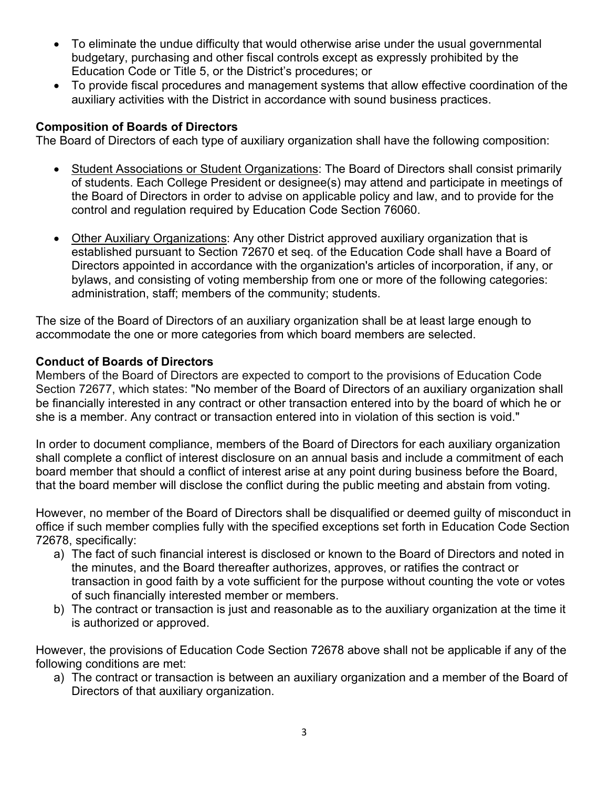- To eliminate the undue difficulty that would otherwise arise under the usual governmental budgetary, purchasing and other fiscal controls except as expressly prohibited by the Education Code or Title 5, or the District's procedures; or
- To provide fiscal procedures and management systems that allow effective coordination of the auxiliary activities with the District in accordance with sound business practices.

# **Composition of Boards of Directors**

The Board of Directors of each type of auxiliary organization shall have the following composition:

- Student Associations or Student Organizations: The Board of Directors shall consist primarily of students. Each College President or designee(s) may attend and participate in meetings of the Board of Directors in order to advise on applicable policy and law, and to provide for the control and regulation required by Education Code Section 76060.
- Other Auxiliary Organizations: Any other District approved auxiliary organization that is established pursuant to Section 72670 et seq. of the Education Code shall have a Board of Directors appointed in accordance with the organization's articles of incorporation, if any, or bylaws, and consisting of voting membership from one or more of the following categories: administration, staff; members of the community; students.

The size of the Board of Directors of an auxiliary organization shall be at least large enough to accommodate the one or more categories from which board members are selected.

#### **Conduct of Boards of Directors**

Members of the Board of Directors are expected to comport to the provisions of Education Code Section 72677, which states: "No member of the Board of Directors of an auxiliary organization shall be financially interested in any contract or other transaction entered into by the board of which he or she is a member. Any contract or transaction entered into in violation of this section is void."

In order to document compliance, members of the Board of Directors for each auxiliary organization shall complete a conflict of interest disclosure on an annual basis and include a commitment of each board member that should a conflict of interest arise at any point during business before the Board, that the board member will disclose the conflict during the public meeting and abstain from voting.

However, no member of the Board of Directors shall be disqualified or deemed guilty of misconduct in office if such member complies fully with the specified exceptions set forth in Education Code Section 72678, specifically:

- a) The fact of such financial interest is disclosed or known to the Board of Directors and noted in the minutes, and the Board thereafter authorizes, approves, or ratifies the contract or transaction in good faith by a vote sufficient for the purpose without counting the vote or votes of such financially interested member or members.
- b) The contract or transaction is just and reasonable as to the auxiliary organization at the time it is authorized or approved.

However, the provisions of Education Code Section 72678 above shall not be applicable if any of the following conditions are met:

a) The contract or transaction is between an auxiliary organization and a member of the Board of Directors of that auxiliary organization.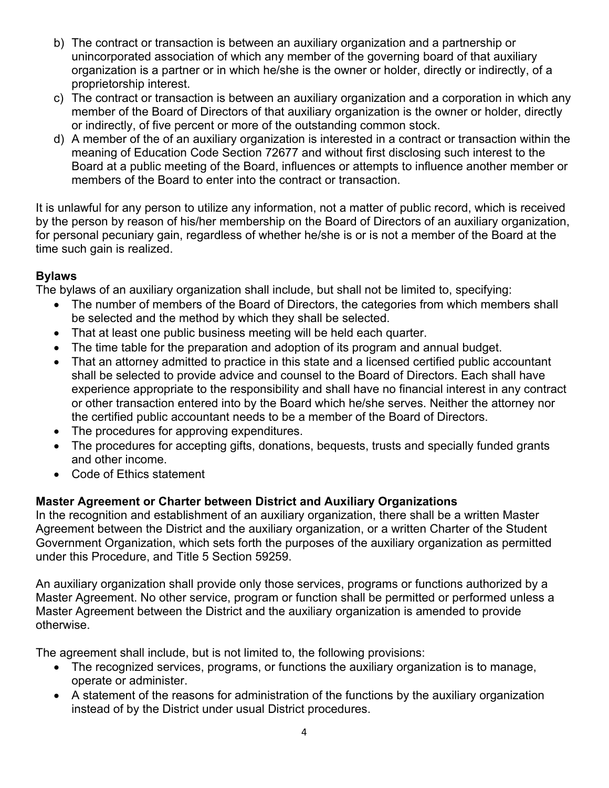- b) The contract or transaction is between an auxiliary organization and a partnership or unincorporated association of which any member of the governing board of that auxiliary organization is a partner or in which he/she is the owner or holder, directly or indirectly, of a proprietorship interest.
- c) The contract or transaction is between an auxiliary organization and a corporation in which any member of the Board of Directors of that auxiliary organization is the owner or holder, directly or indirectly, of five percent or more of the outstanding common stock.
- d) A member of the of an auxiliary organization is interested in a contract or transaction within the meaning of Education Code Section 72677 and without first disclosing such interest to the Board at a public meeting of the Board, influences or attempts to influence another member or members of the Board to enter into the contract or transaction.

It is unlawful for any person to utilize any information, not a matter of public record, which is received by the person by reason of his/her membership on the Board of Directors of an auxiliary organization, for personal pecuniary gain, regardless of whether he/she is or is not a member of the Board at the time such gain is realized.

# **Bylaws**

The bylaws of an auxiliary organization shall include, but shall not be limited to, specifying:

- The number of members of the Board of Directors, the categories from which members shall be selected and the method by which they shall be selected.
- That at least one public business meeting will be held each quarter.
- The time table for the preparation and adoption of its program and annual budget.
- That an attorney admitted to practice in this state and a licensed certified public accountant shall be selected to provide advice and counsel to the Board of Directors. Each shall have experience appropriate to the responsibility and shall have no financial interest in any contract or other transaction entered into by the Board which he/she serves. Neither the attorney nor the certified public accountant needs to be a member of the Board of Directors.
- The procedures for approving expenditures.
- The procedures for accepting gifts, donations, bequests, trusts and specially funded grants and other income.
- Code of Ethics statement

# **Master Agreement or Charter between District and Auxiliary Organizations**

In the recognition and establishment of an auxiliary organization, there shall be a written Master Agreement between the District and the auxiliary organization, or a written Charter of the Student Government Organization, which sets forth the purposes of the auxiliary organization as permitted under this Procedure, and Title 5 Section 59259.

An auxiliary organization shall provide only those services, programs or functions authorized by a Master Agreement. No other service, program or function shall be permitted or performed unless a Master Agreement between the District and the auxiliary organization is amended to provide otherwise.

The agreement shall include, but is not limited to, the following provisions:

- The recognized services, programs, or functions the auxiliary organization is to manage, operate or administer.
- A statement of the reasons for administration of the functions by the auxiliary organization instead of by the District under usual District procedures.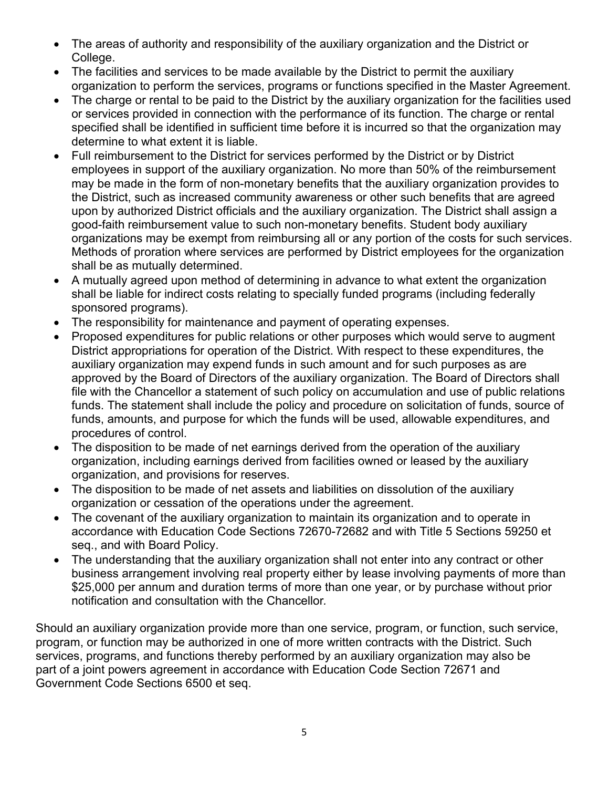- The areas of authority and responsibility of the auxiliary organization and the District or College.
- The facilities and services to be made available by the District to permit the auxiliary organization to perform the services, programs or functions specified in the Master Agreement.
- The charge or rental to be paid to the District by the auxiliary organization for the facilities used or services provided in connection with the performance of its function. The charge or rental specified shall be identified in sufficient time before it is incurred so that the organization may determine to what extent it is liable.
- Full reimbursement to the District for services performed by the District or by District employees in support of the auxiliary organization. No more than 50% of the reimbursement may be made in the form of non-monetary benefits that the auxiliary organization provides to the District, such as increased community awareness or other such benefits that are agreed upon by authorized District officials and the auxiliary organization. The District shall assign a good-faith reimbursement value to such non-monetary benefits. Student body auxiliary organizations may be exempt from reimbursing all or any portion of the costs for such services. Methods of proration where services are performed by District employees for the organization shall be as mutually determined.
- A mutually agreed upon method of determining in advance to what extent the organization shall be liable for indirect costs relating to specially funded programs (including federally sponsored programs).
- The responsibility for maintenance and payment of operating expenses.
- Proposed expenditures for public relations or other purposes which would serve to augment District appropriations for operation of the District. With respect to these expenditures, the auxiliary organization may expend funds in such amount and for such purposes as are approved by the Board of Directors of the auxiliary organization. The Board of Directors shall file with the Chancellor a statement of such policy on accumulation and use of public relations funds. The statement shall include the policy and procedure on solicitation of funds, source of funds, amounts, and purpose for which the funds will be used, allowable expenditures, and procedures of control.
- The disposition to be made of net earnings derived from the operation of the auxiliary organization, including earnings derived from facilities owned or leased by the auxiliary organization, and provisions for reserves.
- The disposition to be made of net assets and liabilities on dissolution of the auxiliary organization or cessation of the operations under the agreement.
- The covenant of the auxiliary organization to maintain its organization and to operate in accordance with Education Code Sections 72670-72682 and with Title 5 Sections 59250 et seq., and with Board Policy.
- The understanding that the auxiliary organization shall not enter into any contract or other business arrangement involving real property either by lease involving payments of more than \$25,000 per annum and duration terms of more than one year, or by purchase without prior notification and consultation with the Chancellor*.*

Should an auxiliary organization provide more than one service, program, or function, such service, program, or function may be authorized in one of more written contracts with the District. Such services, programs, and functions thereby performed by an auxiliary organization may also be part of a joint powers agreement in accordance with Education Code Section 72671 and Government Code Sections 6500 et seq.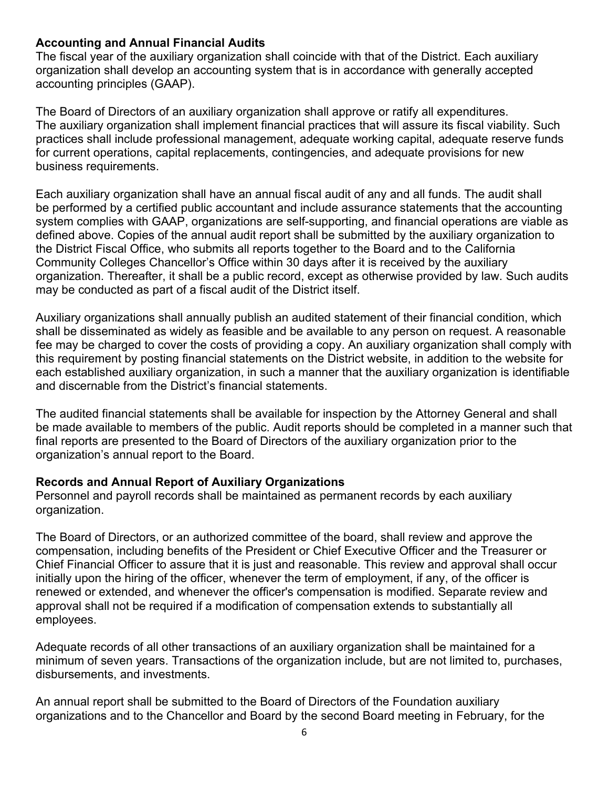#### **Accounting and Annual Financial Audits**

The fiscal year of the auxiliary organization shall coincide with that of the District. Each auxiliary organization shall develop an accounting system that is in accordance with generally accepted accounting principles (GAAP).

The Board of Directors of an auxiliary organization shall approve or ratify all expenditures. The auxiliary organization shall implement financial practices that will assure its fiscal viability. Such practices shall include professional management, adequate working capital, adequate reserve funds for current operations, capital replacements, contingencies, and adequate provisions for new business requirements.

Each auxiliary organization shall have an annual fiscal audit of any and all funds. The audit shall be performed by a certified public accountant and include assurance statements that the accounting system complies with GAAP, organizations are self-supporting, and financial operations are viable as defined above. Copies of the annual audit report shall be submitted by the auxiliary organization to the District Fiscal Office, who submits all reports together to the Board and to the California Community Colleges Chancellor's Office within 30 days after it is received by the auxiliary organization. Thereafter, it shall be a public record, except as otherwise provided by law. Such audits may be conducted as part of a fiscal audit of the District itself.

Auxiliary organizations shall annually publish an audited statement of their financial condition, which shall be disseminated as widely as feasible and be available to any person on request. A reasonable fee may be charged to cover the costs of providing a copy. An auxiliary organization shall comply with this requirement by posting financial statements on the District website, in addition to the website for each established auxiliary organization, in such a manner that the auxiliary organization is identifiable and discernable from the District's financial statements.

The audited financial statements shall be available for inspection by the Attorney General and shall be made available to members of the public. Audit reports should be completed in a manner such that final reports are presented to the Board of Directors of the auxiliary organization prior to the organization's annual report to the Board.

# **Records and Annual Report of Auxiliary Organizations**

Personnel and payroll records shall be maintained as permanent records by each auxiliary organization.

The Board of Directors, or an authorized committee of the board, shall review and approve the compensation, including benefits of the President or Chief Executive Officer and the Treasurer or Chief Financial Officer to assure that it is just and reasonable. This review and approval shall occur initially upon the hiring of the officer, whenever the term of employment, if any, of the officer is renewed or extended, and whenever the officer's compensation is modified. Separate review and approval shall not be required if a modification of compensation extends to substantially all employees.

Adequate records of all other transactions of an auxiliary organization shall be maintained for a minimum of seven years. Transactions of the organization include, but are not limited to, purchases, disbursements, and investments.

An annual report shall be submitted to the Board of Directors of the Foundation auxiliary organizations and to the Chancellor and Board by the second Board meeting in February, for the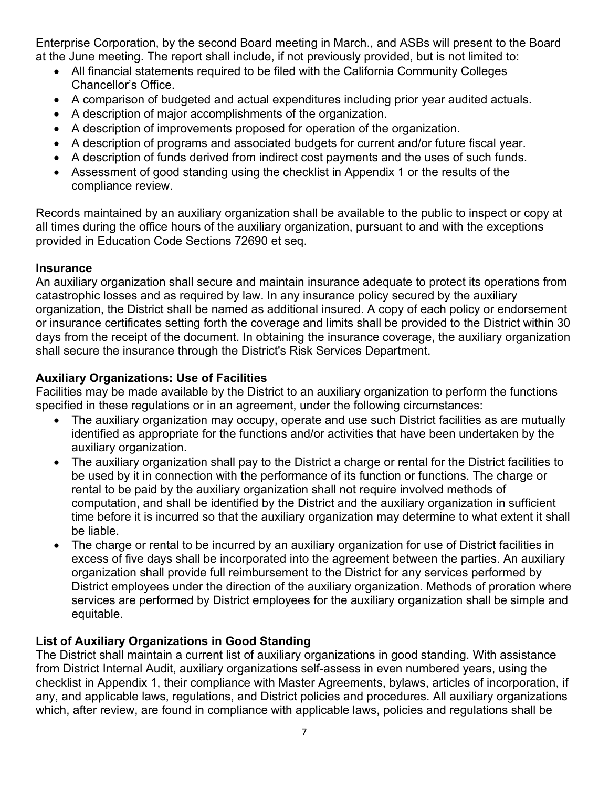Enterprise Corporation, by the second Board meeting in March., and ASBs will present to the Board at the June meeting. The report shall include, if not previously provided, but is not limited to:

- All financial statements required to be filed with the California Community Colleges Chancellor's Office.
- A comparison of budgeted and actual expenditures including prior year audited actuals.
- A description of major accomplishments of the organization.
- A description of improvements proposed for operation of the organization.
- A description of programs and associated budgets for current and/or future fiscal year.
- A description of funds derived from indirect cost payments and the uses of such funds.
- Assessment of good standing using the checklist in Appendix 1 or the results of the compliance review.

Records maintained by an auxiliary organization shall be available to the public to inspect or copy at all times during the office hours of the auxiliary organization, pursuant to and with the exceptions provided in Education Code Sections 72690 et seq.

#### **Insurance**

An auxiliary organization shall secure and maintain insurance adequate to protect its operations from catastrophic losses and as required by law. In any insurance policy secured by the auxiliary organization, the District shall be named as additional insured. A copy of each policy or endorsement or insurance certificates setting forth the coverage and limits shall be provided to the District within 30 days from the receipt of the document. In obtaining the insurance coverage, the auxiliary organization shall secure the insurance through the District's Risk Services Department.

# **Auxiliary Organizations: Use of Facilities**

Facilities may be made available by the District to an auxiliary organization to perform the functions specified in these regulations or in an agreement, under the following circumstances:

- The auxiliary organization may occupy, operate and use such District facilities as are mutually identified as appropriate for the functions and/or activities that have been undertaken by the auxiliary organization.
- The auxiliary organization shall pay to the District a charge or rental for the District facilities to be used by it in connection with the performance of its function or functions. The charge or rental to be paid by the auxiliary organization shall not require involved methods of computation, and shall be identified by the District and the auxiliary organization in sufficient time before it is incurred so that the auxiliary organization may determine to what extent it shall be liable.
- The charge or rental to be incurred by an auxiliary organization for use of District facilities in excess of five days shall be incorporated into the agreement between the parties. An auxiliary organization shall provide full reimbursement to the District for any services performed by District employees under the direction of the auxiliary organization. Methods of proration where services are performed by District employees for the auxiliary organization shall be simple and equitable.

# **List of Auxiliary Organizations in Good Standing**

The District shall maintain a current list of auxiliary organizations in good standing. With assistance from District Internal Audit, auxiliary organizations self-assess in even numbered years, using the checklist in Appendix 1, their compliance with Master Agreements, bylaws, articles of incorporation, if any, and applicable laws, regulations, and District policies and procedures. All auxiliary organizations which, after review, are found in compliance with applicable laws, policies and regulations shall be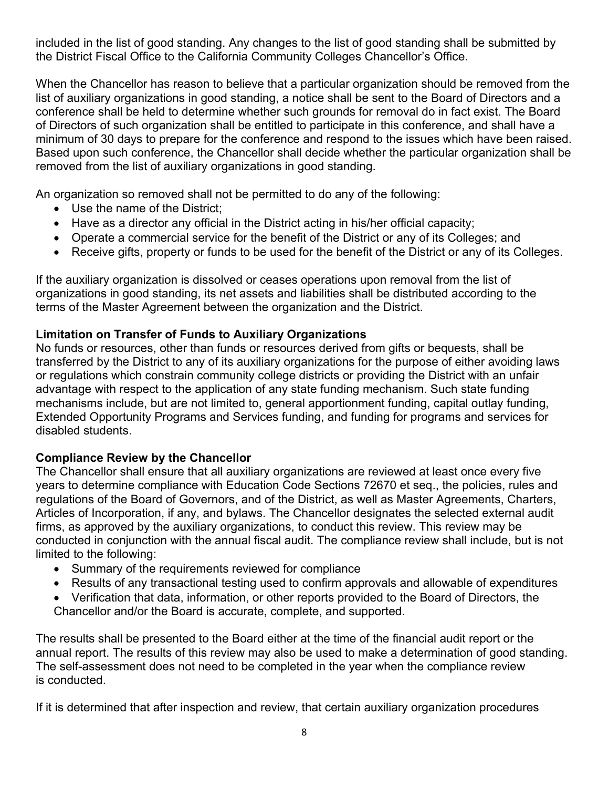included in the list of good standing. Any changes to the list of good standing shall be submitted by the District Fiscal Office to the California Community Colleges Chancellor's Office.

When the Chancellor has reason to believe that a particular organization should be removed from the list of auxiliary organizations in good standing, a notice shall be sent to the Board of Directors and a conference shall be held to determine whether such grounds for removal do in fact exist. The Board of Directors of such organization shall be entitled to participate in this conference, and shall have a minimum of 30 days to prepare for the conference and respond to the issues which have been raised. Based upon such conference, the Chancellor shall decide whether the particular organization shall be removed from the list of auxiliary organizations in good standing.

An organization so removed shall not be permitted to do any of the following:

- Use the name of the District;
- Have as a director any official in the District acting in his/her official capacity;
- Operate a commercial service for the benefit of the District or any of its Colleges; and
- Receive gifts, property or funds to be used for the benefit of the District or any of its Colleges.

If the auxiliary organization is dissolved or ceases operations upon removal from the list of organizations in good standing, its net assets and liabilities shall be distributed according to the terms of the Master Agreement between the organization and the District.

# **Limitation on Transfer of Funds to Auxiliary Organizations**

No funds or resources, other than funds or resources derived from gifts or bequests, shall be transferred by the District to any of its auxiliary organizations for the purpose of either avoiding laws or regulations which constrain community college districts or providing the District with an unfair advantage with respect to the application of any state funding mechanism. Such state funding mechanisms include, but are not limited to, general apportionment funding, capital outlay funding, Extended Opportunity Programs and Services funding, and funding for programs and services for disabled students.

# **Compliance Review by the Chancellor**

The Chancellor shall ensure that all auxiliary organizations are reviewed at least once every five years to determine compliance with Education Code Sections 72670 et seq., the policies, rules and regulations of the Board of Governors, and of the District, as well as Master Agreements, Charters, Articles of Incorporation, if any, and bylaws. The Chancellor designates the selected external audit firms, as approved by the auxiliary organizations, to conduct this review. This review may be conducted in conjunction with the annual fiscal audit. The compliance review shall include, but is not limited to the following:

- Summary of the requirements reviewed for compliance
- Results of any transactional testing used to confirm approvals and allowable of expenditures
- Verification that data, information, or other reports provided to the Board of Directors, the Chancellor and/or the Board is accurate, complete, and supported.

The results shall be presented to the Board either at the time of the financial audit report or the annual report. The results of this review may also be used to make a determination of good standing. The self-assessment does not need to be completed in the year when the compliance review is conducted.

If it is determined that after inspection and review, that certain auxiliary organization procedures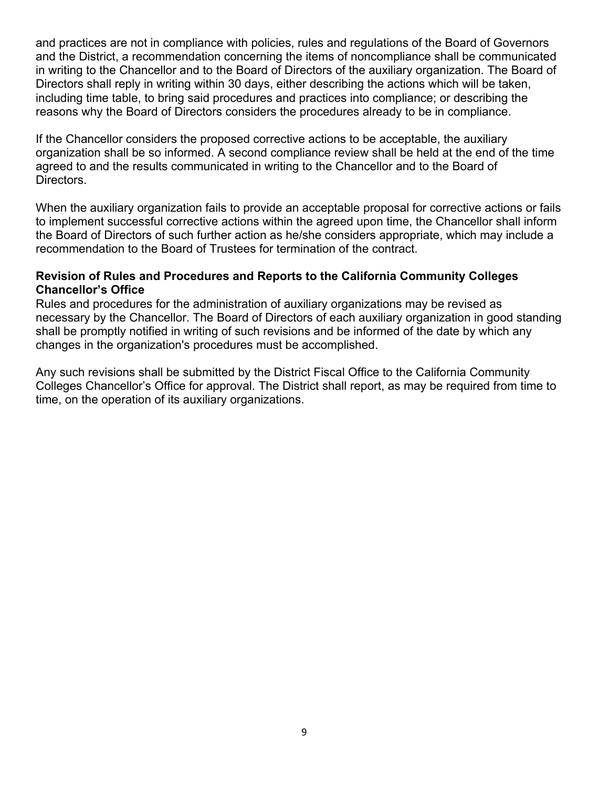and practices are not in compliance with policies, rules and regulations of the Board of Governors and the District, a recommendation concerning the items of noncompliance shall be communicated in writing to the Chancellor and to the Board of Directors of the auxiliary organization. The Board of Directors shall reply in writing within 30 days, either describing the actions which will be taken, including time table, to bring said procedures and practices into compliance; or describing the reasons why the Board of Directors considers the procedures already to be in compliance.

If the Chancellor considers the proposed corrective actions to be acceptable, the auxiliary organization shall be so informed. A second compliance review shall be held at the end of the time agreed to and the results communicated in writing to the Chancellor and to the Board of Directors.

When the auxiliary organization fails to provide an acceptable proposal for corrective actions or fails to implement successful corrective actions within the agreed upon time, the Chancellor shall inform the Board of Directors of such further action as he/she considers appropriate, which may include a recommendation to the Board of Trustees for termination of the contract.

#### **Revision of Rules and Procedures and Reports to the California Community Colleges Chancellor's Office**

Rules and procedures for the administration of auxiliary organizations may be revised as necessary by the Chancellor. The Board of Directors of each auxiliary organization in good standing shall be promptly notified in writing of such revisions and be informed of the date by which any changes in the organization's procedures must be accomplished.

Any such revisions shall be submitted by the District Fiscal Office to the California Community Colleges Chancellor's Office for approval. The District shall report, as may be required from time to time, on the operation of its auxiliary organizations.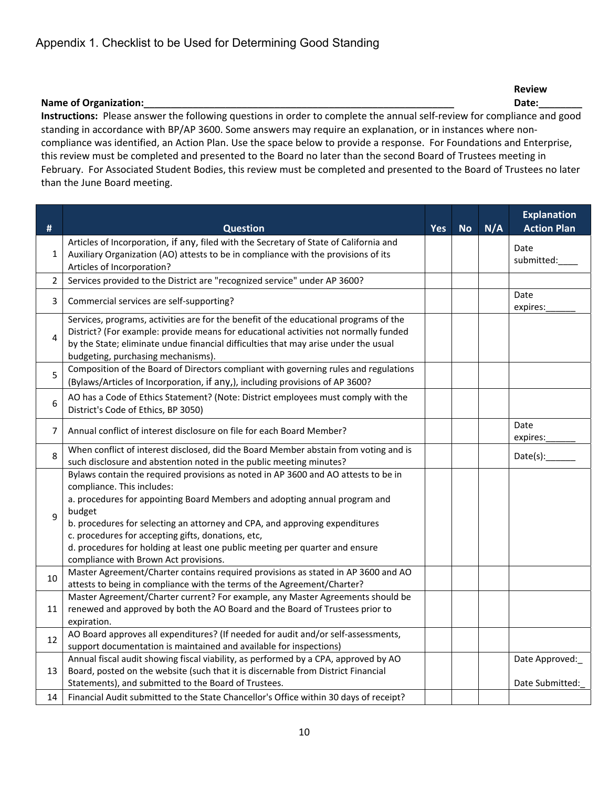|                                                                                                                                                                                                                                                                                                                                                                                                                                                                                   | <b>Review</b> |
|-----------------------------------------------------------------------------------------------------------------------------------------------------------------------------------------------------------------------------------------------------------------------------------------------------------------------------------------------------------------------------------------------------------------------------------------------------------------------------------|---------------|
| <b>Name of Organization:</b>                                                                                                                                                                                                                                                                                                                                                                                                                                                      | Date:         |
| Instructions: Please answer the following questions in order to complete the annual self-review for compliance and good<br>standing in accordance with BP/AP 3600. Some answers may require an explanation, or in instances where non-<br>compliance was identified, an Action Plan. Use the space below to provide a response. For Foundations and Enterprise,<br>this review must be completed and presented to the Board no later than the second Board of Trustees meeting in |               |

February. For Associated Student Bodies, this review must be completed and presented to the Board of Trustees no later than the June Board meeting.

|    |                                                                                                                                                                                                                                                                                                                                                                                                                                                                        |            |           |     | <b>Explanation</b>                |
|----|------------------------------------------------------------------------------------------------------------------------------------------------------------------------------------------------------------------------------------------------------------------------------------------------------------------------------------------------------------------------------------------------------------------------------------------------------------------------|------------|-----------|-----|-----------------------------------|
| #  | <b>Question</b>                                                                                                                                                                                                                                                                                                                                                                                                                                                        | <b>Yes</b> | <b>No</b> | N/A | <b>Action Plan</b>                |
| 1  | Articles of Incorporation, if any, filed with the Secretary of State of California and<br>Auxiliary Organization (AO) attests to be in compliance with the provisions of its<br>Articles of Incorporation?                                                                                                                                                                                                                                                             |            |           |     | Date<br>submitted:                |
| 2  | Services provided to the District are "recognized service" under AP 3600?                                                                                                                                                                                                                                                                                                                                                                                              |            |           |     |                                   |
| 3  | Commercial services are self-supporting?                                                                                                                                                                                                                                                                                                                                                                                                                               |            |           |     | Date<br>expires:                  |
| 4  | Services, programs, activities are for the benefit of the educational programs of the<br>District? (For example: provide means for educational activities not normally funded<br>by the State; eliminate undue financial difficulties that may arise under the usual<br>budgeting, purchasing mechanisms).                                                                                                                                                             |            |           |     |                                   |
| 5  | Composition of the Board of Directors compliant with governing rules and regulations<br>(Bylaws/Articles of Incorporation, if any,), including provisions of AP 3600?                                                                                                                                                                                                                                                                                                  |            |           |     |                                   |
| 6  | AO has a Code of Ethics Statement? (Note: District employees must comply with the<br>District's Code of Ethics, BP 3050)                                                                                                                                                                                                                                                                                                                                               |            |           |     |                                   |
| 7  | Annual conflict of interest disclosure on file for each Board Member?                                                                                                                                                                                                                                                                                                                                                                                                  |            |           |     | Date<br>expires:                  |
| 8  | When conflict of interest disclosed, did the Board Member abstain from voting and is<br>such disclosure and abstention noted in the public meeting minutes?                                                                                                                                                                                                                                                                                                            |            |           |     | Date(s):                          |
| 9  | Bylaws contain the required provisions as noted in AP 3600 and AO attests to be in<br>compliance. This includes:<br>a. procedures for appointing Board Members and adopting annual program and<br>budget<br>b. procedures for selecting an attorney and CPA, and approving expenditures<br>c. procedures for accepting gifts, donations, etc,<br>d. procedures for holding at least one public meeting per quarter and ensure<br>compliance with Brown Act provisions. |            |           |     |                                   |
| 10 | Master Agreement/Charter contains required provisions as stated in AP 3600 and AO<br>attests to being in compliance with the terms of the Agreement/Charter?                                                                                                                                                                                                                                                                                                           |            |           |     |                                   |
| 11 | Master Agreement/Charter current? For example, any Master Agreements should be<br>renewed and approved by both the AO Board and the Board of Trustees prior to<br>expiration.                                                                                                                                                                                                                                                                                          |            |           |     |                                   |
| 12 | AO Board approves all expenditures? (If needed for audit and/or self-assessments,<br>support documentation is maintained and available for inspections)                                                                                                                                                                                                                                                                                                                |            |           |     |                                   |
| 13 | Annual fiscal audit showing fiscal viability, as performed by a CPA, approved by AO<br>Board, posted on the website (such that it is discernable from District Financial<br>Statements), and submitted to the Board of Trustees.                                                                                                                                                                                                                                       |            |           |     | Date Approved:<br>Date Submitted: |
| 14 | Financial Audit submitted to the State Chancellor's Office within 30 days of receipt?                                                                                                                                                                                                                                                                                                                                                                                  |            |           |     |                                   |